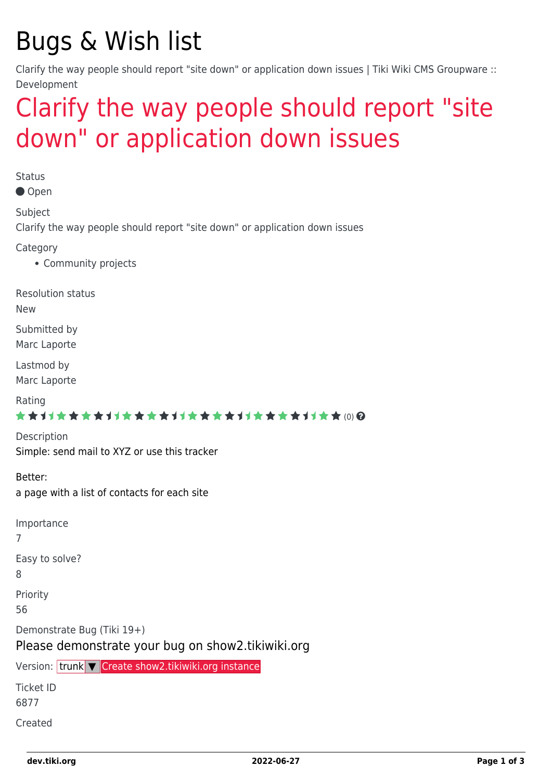# Bugs & Wish list

Clarify the way people should report "site down" or application down issues | Tiki Wiki CMS Groupware :: Development

## [Clarify the way people should report "site](https://dev.tiki.org/item6877-Clarify-the-way-people-should-report-site-down-or-application-down-issues) [down" or application down issues](https://dev.tiki.org/item6877-Clarify-the-way-people-should-report-site-down-or-application-down-issues)

**Status** 

Open

Subject

Clarify the way people should report "site down" or application down issues

Category

• Community projects

Resolution status

New

Submitted by Marc Laporte

Lastmod by Marc Laporte

Rating

#### \*\*\*\*\*\*\*\*\*\*\*\*\*\*\*\*\*\*\*\*\*\*\*\*\*\*\*\*\*\*

Description Simple: send mail to XYZ or use this tracker

Better: a page with a list of contacts for each site

Importance 7 Easy to solve? 8 Priority 56 Demonstrate Bug (Tiki 19+) Please demonstrate your bug on show2.tikiwiki.org Version: trunk ▼ [Create show2.tikiwiki.org instance](#page--1-0) Ticket ID

6877

Created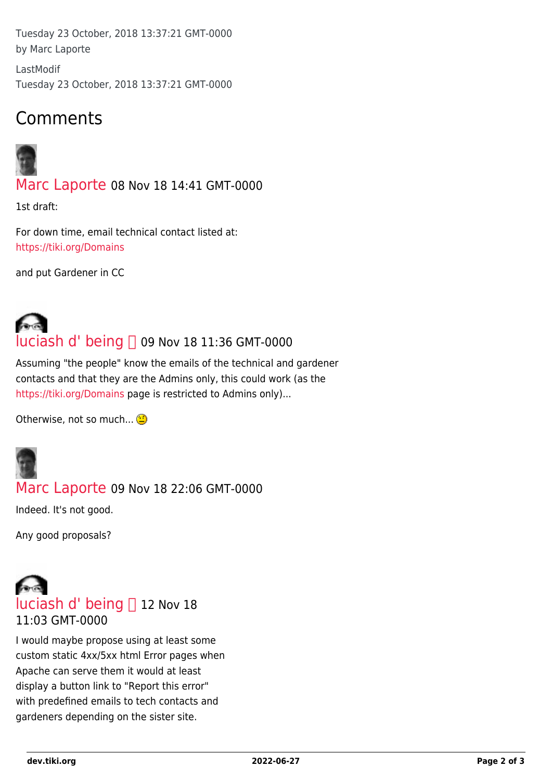Tuesday 23 October, 2018 13:37:21 GMT-0000 by Marc Laporte

LastModif Tuesday 23 October, 2018 13:37:21 GMT-0000

### Comments



[Marc Laporte](https://dev.tiki.org/user11197) 08 Nov 18 14:41 GMT-0000

1st draft:

For down time, email technical contact listed at: <https://tiki.org/Domains>

and put Gardener in CC

# [luciash d' being](https://dev.tiki.org/user199)  09 Nov 18 11:36 GMT-0000

Assuming "the people" know the emails of the technical and gardener contacts and that they are the Admins only, this could work (as the <https://tiki.org/Domains> page is restricted to Admins only)...

Otherwise, not so much...



### [Marc Laporte](https://dev.tiki.org/user11197) 09 Nov 18 22:06 GMT-0000

Indeed. It's not good.

Any good proposals?

## [luciash d' being](https://dev.tiki.org/user199) [] 12 Nov 18 11:03 GMT-0000

I would maybe propose using at least some custom static 4xx/5xx html Error pages when Apache can serve them it would at least display a button link to "Report this error" with predefined emails to tech contacts and gardeners depending on the sister site.